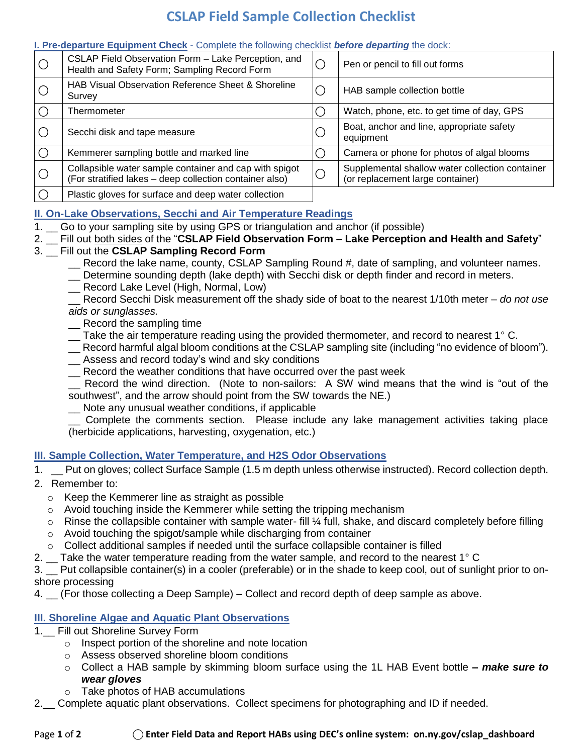# **CSLAP Field Sample Collection Checklist**

#### **I. Pre-departure Equipment Check** - Complete the following checklist *before departing* the dock:

| $\bigcirc$ | CSLAP Field Observation Form - Lake Perception, and<br>Health and Safety Form; Sampling Record Form               | Pen or pencil to fill out forms                                                     |
|------------|-------------------------------------------------------------------------------------------------------------------|-------------------------------------------------------------------------------------|
|            | HAB Visual Observation Reference Sheet & Shoreline<br>Survey                                                      | HAB sample collection bottle                                                        |
|            | Thermometer                                                                                                       | Watch, phone, etc. to get time of day, GPS                                          |
|            | Secchi disk and tape measure                                                                                      | Boat, anchor and line, appropriate safety<br>equipment                              |
| O          | Kemmerer sampling bottle and marked line                                                                          | Camera or phone for photos of algal blooms                                          |
| $\bigcirc$ | Collapsible water sample container and cap with spigot<br>(For stratified lakes - deep collection container also) | Supplemental shallow water collection container<br>(or replacement large container) |
|            | Plastic gloves for surface and deep water collection                                                              |                                                                                     |

## **II. On-Lake Observations, Secchi and Air Temperature Readings**

- 1. Go to your sampling site by using GPS or triangulation and anchor (if possible)
- 2. \_\_ Fill out both sides of the "**CSLAP Field Observation Form – Lake Perception and Health and Safety**"

# 3. \_\_ Fill out the **CSLAP Sampling Record Form**

- \_\_ Record the lake name, county, CSLAP Sampling Round #, date of sampling, and volunteer names.
- \_\_ Determine sounding depth (lake depth) with Secchi disk or depth finder and record in meters.
- \_\_ Record Lake Level (High, Normal, Low)

\_\_ Record Secchi Disk measurement off the shady side of boat to the nearest 1/10th meter – *do not use aids or sunglasses.*

- Record the sampling time
- \_\_ Take the air temperature reading using the provided thermometer, and record to nearest 1° C.
- \_\_ Record harmful algal bloom conditions at the CSLAP sampling site (including "no evidence of bloom").
- \_\_ Assess and record today's wind and sky conditions
- \_\_ Record the weather conditions that have occurred over the past week

Record the wind direction. (Note to non-sailors: A SW wind means that the wind is "out of the southwest", and the arrow should point from the SW towards the NE.)

\_\_ Note any unusual weather conditions, if applicable

\_\_ Complete the comments section. Please include any lake management activities taking place (herbicide applications, harvesting, oxygenation, etc.)

## **III. Sample Collection, Water Temperature, and H2S Odor Observations**

- 1. \_\_ Put on gloves; collect Surface Sample (1.5 m depth unless otherwise instructed). Record collection depth.
- 2. Remember to:
	- o Keep the Kemmerer line as straight as possible
	- $\circ$  Avoid touching inside the Kemmerer while setting the tripping mechanism
	- $\circ$  Rinse the collapsible container with sample water- fill  $\frac{1}{2}$  full, shake, and discard completely before filling
	- o Avoid touching the spigot/sample while discharging from container
	- $\circ$  Collect additional samples if needed until the surface collapsible container is filled
- 2.  $\pm$  Take the water temperature reading from the water sample, and record to the nearest 1° C

3. \_\_ Put collapsible container(s) in a cooler (preferable) or in the shade to keep cool, out of sunlight prior to onshore processing

4. \_\_ (For those collecting a Deep Sample) – Collect and record depth of deep sample as above.

## **III. Shoreline Algae and Aquatic Plant Observations**

- 1.\_\_ Fill out Shoreline Survey Form
	- o Inspect portion of the shoreline and note location
	- o Assess observed shoreline bloom conditions
	- o Collect a HAB sample by skimming bloom surface using the 1L HAB Event bottle **–** *make sure to wear gloves*
	- o Take photos of HAB accumulations
- 2. Complete aquatic plant observations. Collect specimens for photographing and ID if needed.